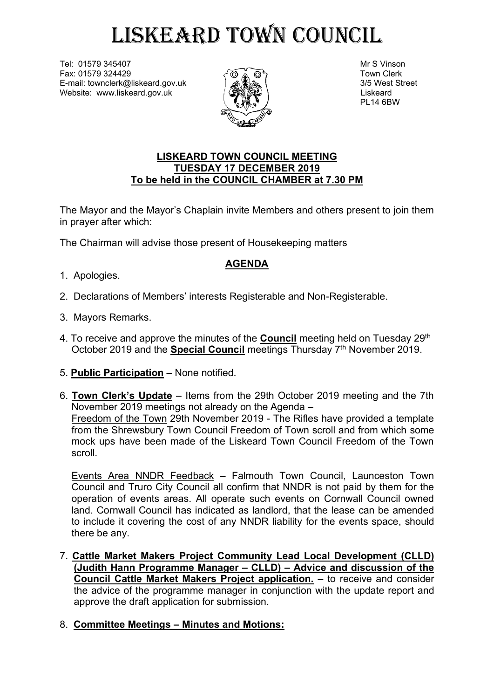## LISKEARD TOWN COUNCIL

Tel: 01579 345407 Mr S Vinson Fax: 01579 324429  $\overline{\odot}$   $\overline{\odot}$   $\overline{\odot}$   $\overline{\odot}$   $\overline{\odot}$   $\overline{\odot}$   $\overline{\odot}$   $\overline{\odot}$   $\overline{\odot}$   $\overline{\odot}$   $\overline{\odot}$   $\overline{\odot}$   $\overline{\odot}$   $\overline{\odot}$   $\overline{\odot}$   $\overline{\odot}$   $\overline{\odot}$   $\overline{\odot}$   $\overline{\odot}$   $\overline{\odot}$   $\over$ E-mail: townclerk@liskeard.gov.uk 3/5 West Street Website: www.liskeard.gov.uk and  $\sqrt{2}$  ( $\sqrt{2}$ )



PL14 6BW

## **LISKEARD TOWN COUNCIL MEETING TUESDAY 17 DECEMBER 2019 To be held in the COUNCIL CHAMBER at 7.30 PM**

The Mayor and the Mayor's Chaplain invite Members and others present to join them in prayer after which:

The Chairman will advise those present of Housekeeping matters

## **AGENDA**

- 1. Apologies.
- 2. Declarations of Members' interests Registerable and Non-Registerable.
- 3. Mayors Remarks.
- 4. To receive and approve the minutes of the <u>Council</u> meeting held on Tuesday 29<sup>th</sup> October 2019 and the **Special Council** meetings Thursday 7<sup>th</sup> November 2019.
- 5. **Public Participation** None notified.
- 6. **Town Clerk's Update** Items from the 29th October 2019 meeting and the 7th November 2019 meetings not already on the Agenda – Freedom of the Town 29th November 2019 - The Rifles have provided a template from the Shrewsbury Town Council Freedom of Town scroll and from which some mock ups have been made of the Liskeard Town Council Freedom of the Town scroll.

Events Area NNDR Feedback – Falmouth Town Council, Launceston Town Council and Truro City Council all confirm that NNDR is not paid by them for the operation of events areas. All operate such events on Cornwall Council owned land. Cornwall Council has indicated as landlord, that the lease can be amended to include it covering the cost of any NNDR liability for the events space, should there be any.

- 7. **Cattle Market Makers Project Community Lead Local Development (CLLD) (Judith Hann Programme Manager – CLLD) – Advice and discussion of the Council Cattle Market Makers Project application.** – to receive and consider the advice of the programme manager in conjunction with the update report and approve the draft application for submission.
- 8. **Committee Meetings – Minutes and Motions:**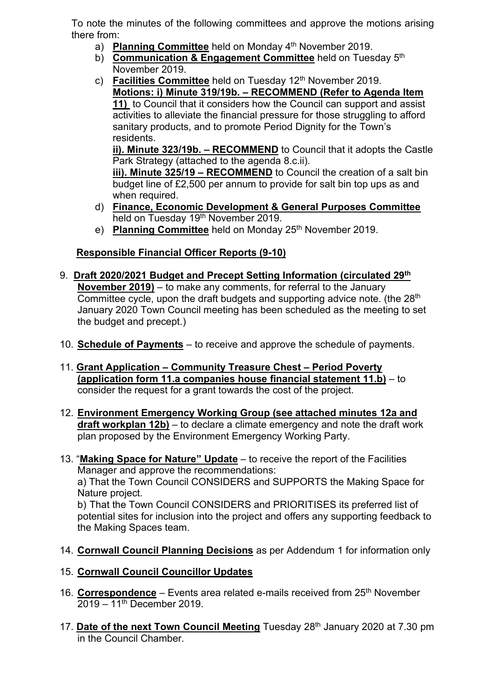To note the minutes of the following committees and approve the motions arising there from:

- a) Planning Committee held on Monday 4<sup>th</sup> November 2019.
- b) Communication & Engagement Committee held on Tuesday 5<sup>th</sup> November 2019.
- c) **Facilities Committee** held on Tuesday 12<sup>th</sup> November 2019. **Motions: i) Minute 319/19b. – RECOMMEND (Refer to Agenda Item 11)** to Council that it considers how the Council can support and assist activities to alleviate the financial pressure for those struggling to afford sanitary products, and to promote Period Dignity for the Town's residents.

**ii). Minute 323/19b. – RECOMMEND** to Council that it adopts the Castle Park Strategy (attached to the agenda 8.c.ii).

**iii). Minute 325/19 – RECOMMEND** to Council the creation of a salt bin budget line of £2,500 per annum to provide for salt bin top ups as and when required.

- d) **Finance, Economic Development & General Purposes Committee**  held on Tuesday 19<sup>th</sup> November 2019.
- e) Planning Committee held on Monday 25<sup>th</sup> November 2019.

## **Responsible Financial Officer Reports (9-10)**

- 9. **Draft 2020/2021 Budget and Precept Setting Information (circulated 29th November 2019)** – to make any comments, for referral to the January Committee cycle, upon the draft budgets and supporting advice note. (the 28<sup>th</sup> January 2020 Town Council meeting has been scheduled as the meeting to set the budget and precept.)
- 10. **Schedule of Payments** to receive and approve the schedule of payments.
- 11. **Grant Application – Community Treasure Chest – Period Poverty (application form 11.a companies house financial statement 11.b)** – to consider the request for a grant towards the cost of the project.
- 12. **Environment Emergency Working Group (see attached minutes 12a and draft workplan 12b)** – to declare a climate emergency and note the draft work plan proposed by the Environment Emergency Working Party.
- 13. "**Making Space for Nature" Update** to receive the report of the Facilities Manager and approve the recommendations:

a) That the Town Council CONSIDERS and SUPPORTS the Making Space for Nature project.

b) That the Town Council CONSIDERS and PRIORITISES its preferred list of potential sites for inclusion into the project and offers any supporting feedback to the Making Spaces team.

- 14. **Cornwall Council Planning Decisions** as per Addendum 1 for information only
- 15. **Cornwall Council Councillor Updates**
- 16. **Correspondence** Events area related e-mails received from 25th November 2019 – 11th December 2019.
- 17. **Date of the next Town Council Meeting** Tuesday 28th January 2020 at 7.30 pm in the Council Chamber.